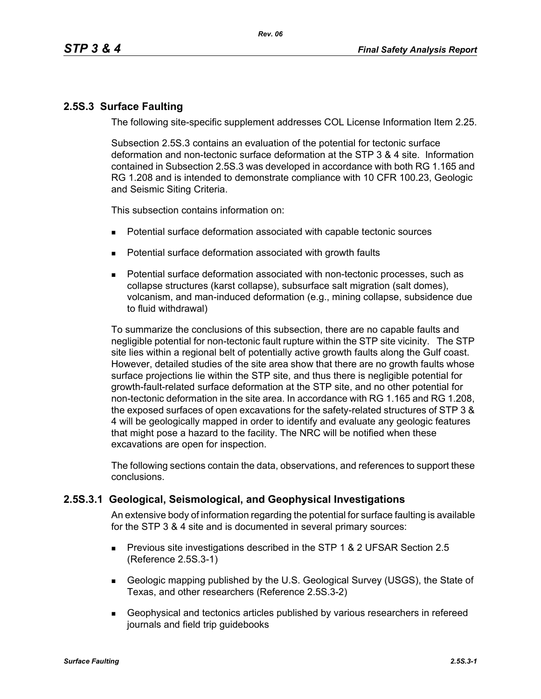## **2.5S.3 Surface Faulting**

The following site-specific supplement addresses COL License Information Item 2.25.

Subsection 2.5S.3 contains an evaluation of the potential for tectonic surface deformation and non-tectonic surface deformation at the STP 3 & 4 site. Information contained in Subsection 2.5S.3 was developed in accordance with both RG 1.165 and RG 1.208 and is intended to demonstrate compliance with 10 CFR 100.23, Geologic and Seismic Siting Criteria.

This subsection contains information on:

- Potential surface deformation associated with capable tectonic sources
- **Potential surface deformation associated with growth faults**
- Potential surface deformation associated with non-tectonic processes, such as collapse structures (karst collapse), subsurface salt migration (salt domes), volcanism, and man-induced deformation (e.g., mining collapse, subsidence due to fluid withdrawal)

To summarize the conclusions of this subsection, there are no capable faults and negligible potential for non-tectonic fault rupture within the STP site vicinity. The STP site lies within a regional belt of potentially active growth faults along the Gulf coast. However, detailed studies of the site area show that there are no growth faults whose surface projections lie within the STP site, and thus there is negligible potential for growth-fault-related surface deformation at the STP site, and no other potential for non-tectonic deformation in the site area. In accordance with RG 1.165 and RG 1.208, the exposed surfaces of open excavations for the safety-related structures of STP 3 & 4 will be geologically mapped in order to identify and evaluate any geologic features that might pose a hazard to the facility. The NRC will be notified when these excavations are open for inspection.

The following sections contain the data, observations, and references to support these conclusions.

# **2.5S.3.1 Geological, Seismological, and Geophysical Investigations**

An extensive body of information regarding the potential for surface faulting is available for the STP 3 & 4 site and is documented in several primary sources:

- **Previous site investigations described in the STP 1 & 2 UFSAR Section 2.5** (Reference 2.5S.3-1)
- Geologic mapping published by the U.S. Geological Survey (USGS), the State of Texas, and other researchers (Reference 2.5S.3-2)
- Geophysical and tectonics articles published by various researchers in refereed journals and field trip guidebooks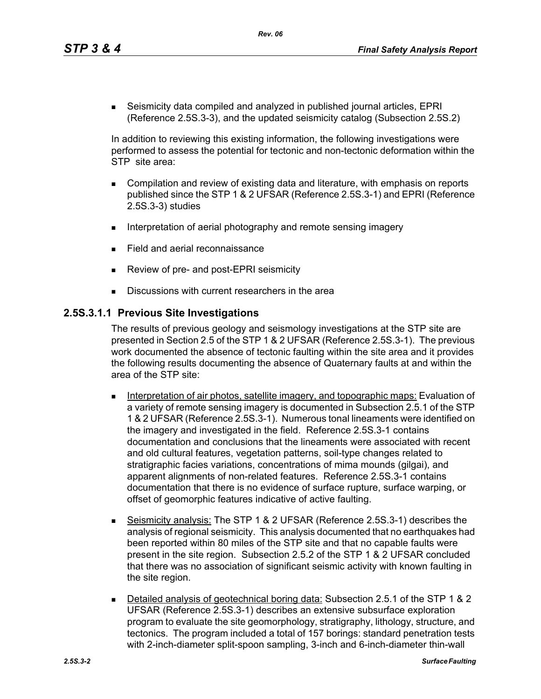*Rev. 06*

 Seismicity data compiled and analyzed in published journal articles, EPRI (Reference 2.5S.3-3), and the updated seismicity catalog (Subsection 2.5S.2)

In addition to reviewing this existing information, the following investigations were performed to assess the potential for tectonic and non-tectonic deformation within the STP site area:

- Compilation and review of existing data and literature, with emphasis on reports published since the STP 1 & 2 UFSAR (Reference 2.5S.3-1) and EPRI (Reference 2.5S.3-3) studies
- Interpretation of aerial photography and remote sensing imagery
- Field and aerial reconnaissance
- Review of pre- and post-EPRI seismicity
- Discussions with current researchers in the area

## **2.5S.3.1.1 Previous Site Investigations**

The results of previous geology and seismology investigations at the STP site are presented in Section 2.5 of the STP 1 & 2 UFSAR (Reference 2.5S.3-1). The previous work documented the absence of tectonic faulting within the site area and it provides the following results documenting the absence of Quaternary faults at and within the area of the STP site:

- **Interpretation of air photos, satellite imagery, and topographic maps: Evaluation of** a variety of remote sensing imagery is documented in Subsection 2.5.1 of the STP 1 & 2 UFSAR (Reference 2.5S.3-1). Numerous tonal lineaments were identified on the imagery and investigated in the field. Reference 2.5S.3-1 contains documentation and conclusions that the lineaments were associated with recent and old cultural features, vegetation patterns, soil-type changes related to stratigraphic facies variations, concentrations of mima mounds (gilgai), and apparent alignments of non-related features. Reference 2.5S.3-1 contains documentation that there is no evidence of surface rupture, surface warping, or offset of geomorphic features indicative of active faulting.
- Seismicity analysis: The STP 1 & 2 UFSAR (Reference 2.5S.3-1) describes the analysis of regional seismicity. This analysis documented that no earthquakes had been reported within 80 miles of the STP site and that no capable faults were present in the site region. Subsection 2.5.2 of the STP 1 & 2 UFSAR concluded that there was no association of significant seismic activity with known faulting in the site region.
- Detailed analysis of geotechnical boring data: Subsection 2.5.1 of the STP 1 & 2 UFSAR (Reference 2.5S.3-1) describes an extensive subsurface exploration program to evaluate the site geomorphology, stratigraphy, lithology, structure, and tectonics. The program included a total of 157 borings: standard penetration tests with 2-inch-diameter split-spoon sampling, 3-inch and 6-inch-diameter thin-wall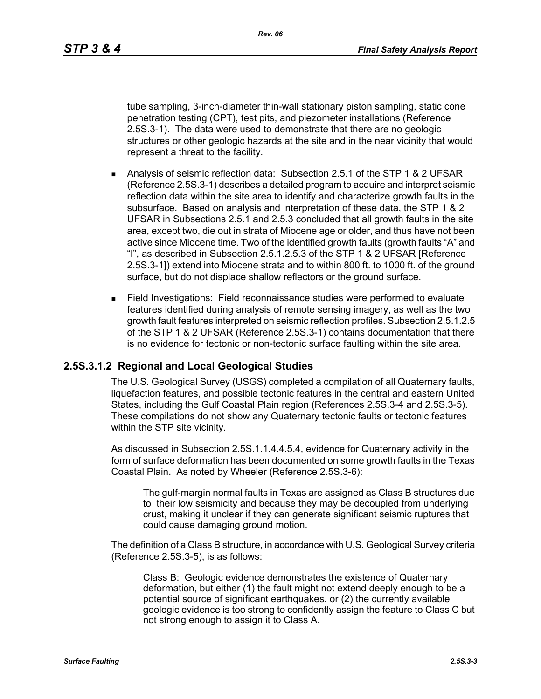*Rev. 06*

tube sampling, 3-inch-diameter thin-wall stationary piston sampling, static cone penetration testing (CPT), test pits, and piezometer installations (Reference 2.5S.3-1). The data were used to demonstrate that there are no geologic structures or other geologic hazards at the site and in the near vicinity that would represent a threat to the facility.

- Analysis of seismic reflection data: Subsection 2.5.1 of the STP 1 & 2 UFSAR (Reference 2.5S.3-1) describes a detailed program to acquire and interpret seismic reflection data within the site area to identify and characterize growth faults in the subsurface. Based on analysis and interpretation of these data, the STP 1 & 2 UFSAR in Subsections 2.5.1 and 2.5.3 concluded that all growth faults in the site area, except two, die out in strata of Miocene age or older, and thus have not been active since Miocene time. Two of the identified growth faults (growth faults "A" and "I", as described in Subsection 2.5.1.2.5.3 of the STP 1 & 2 UFSAR [Reference 2.5S.3-1]) extend into Miocene strata and to within 800 ft. to 1000 ft. of the ground surface, but do not displace shallow reflectors or the ground surface.
- Field Investigations: Field reconnaissance studies were performed to evaluate features identified during analysis of remote sensing imagery, as well as the two growth fault features interpreted on seismic reflection profiles. Subsection 2.5.1.2.5 of the STP 1 & 2 UFSAR (Reference 2.5S.3-1) contains documentation that there is no evidence for tectonic or non-tectonic surface faulting within the site area.

## **2.5S.3.1.2 Regional and Local Geological Studies**

The U.S. Geological Survey (USGS) completed a compilation of all Quaternary faults, liquefaction features, and possible tectonic features in the central and eastern United States, including the Gulf Coastal Plain region (References 2.5S.3-4 and 2.5S.3-5). These compilations do not show any Quaternary tectonic faults or tectonic features within the STP site vicinity.

As discussed in Subsection 2.5S.1.1.4.4.5.4, evidence for Quaternary activity in the form of surface deformation has been documented on some growth faults in the Texas Coastal Plain. As noted by Wheeler (Reference 2.5S.3-6):

The gulf-margin normal faults in Texas are assigned as Class B structures due to their low seismicity and because they may be decoupled from underlying crust, making it unclear if they can generate significant seismic ruptures that could cause damaging ground motion.

The definition of a Class B structure, in accordance with U.S. Geological Survey criteria (Reference 2.5S.3-5), is as follows:

Class B: Geologic evidence demonstrates the existence of Quaternary deformation, but either (1) the fault might not extend deeply enough to be a potential source of significant earthquakes, or (2) the currently available geologic evidence is too strong to confidently assign the feature to Class C but not strong enough to assign it to Class A.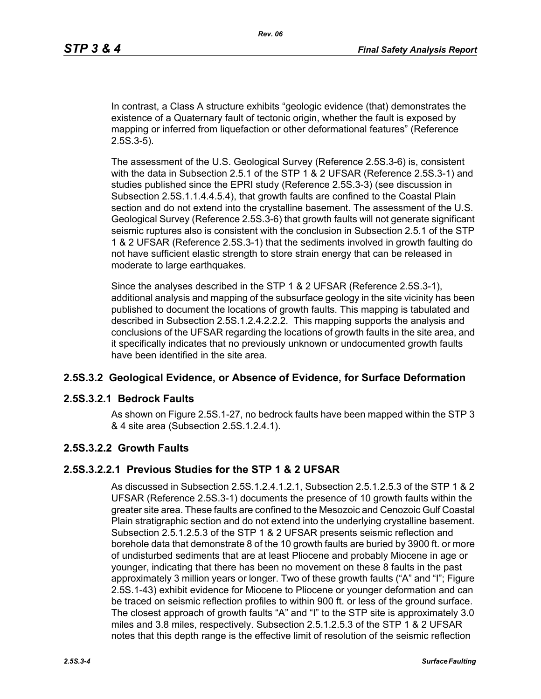In contrast, a Class A structure exhibits "geologic evidence (that) demonstrates the existence of a Quaternary fault of tectonic origin, whether the fault is exposed by mapping or inferred from liquefaction or other deformational features" (Reference 2.5S.3-5).

The assessment of the U.S. Geological Survey (Reference 2.5S.3-6) is, consistent with the data in Subsection 2.5.1 of the STP 1 & 2 UFSAR (Reference 2.5S.3-1) and studies published since the EPRI study (Reference 2.5S.3-3) (see discussion in Subsection 2.5S.1.1.4.4.5.4), that growth faults are confined to the Coastal Plain section and do not extend into the crystalline basement. The assessment of the U.S. Geological Survey (Reference 2.5S.3-6) that growth faults will not generate significant seismic ruptures also is consistent with the conclusion in Subsection 2.5.1 of the STP 1 & 2 UFSAR (Reference 2.5S.3-1) that the sediments involved in growth faulting do not have sufficient elastic strength to store strain energy that can be released in moderate to large earthquakes.

Since the analyses described in the STP 1 & 2 UFSAR (Reference 2.5S.3-1), additional analysis and mapping of the subsurface geology in the site vicinity has been published to document the locations of growth faults. This mapping is tabulated and described in Subsection 2.5S.1.2.4.2.2.2. This mapping supports the analysis and conclusions of the UFSAR regarding the locations of growth faults in the site area, and it specifically indicates that no previously unknown or undocumented growth faults have been identified in the site area.

### **2.5S.3.2 Geological Evidence, or Absence of Evidence, for Surface Deformation**

### **2.5S.3.2.1 Bedrock Faults**

As shown on Figure 2.5S.1-27, no bedrock faults have been mapped within the STP 3 & 4 site area (Subsection 2.5S.1.2.4.1).

### **2.5S.3.2.2 Growth Faults**

### **2.5S.3.2.2.1 Previous Studies for the STP 1 & 2 UFSAR**

As discussed in Subsection 2.5S.1.2.4.1.2.1, Subsection 2.5.1.2.5.3 of the STP 1 & 2 UFSAR (Reference 2.5S.3-1) documents the presence of 10 growth faults within the greater site area. These faults are confined to the Mesozoic and Cenozoic Gulf Coastal Plain stratigraphic section and do not extend into the underlying crystalline basement. Subsection 2.5.1.2.5.3 of the STP 1 & 2 UFSAR presents seismic reflection and borehole data that demonstrate 8 of the 10 growth faults are buried by 3900 ft. or more of undisturbed sediments that are at least Pliocene and probably Miocene in age or younger, indicating that there has been no movement on these 8 faults in the past approximately 3 million years or longer. Two of these growth faults ("A" and "I"; Figure 2.5S.1-43) exhibit evidence for Miocene to Pliocene or younger deformation and can be traced on seismic reflection profiles to within 900 ft. or less of the ground surface. The closest approach of growth faults "A" and "I" to the STP site is approximately 3.0 miles and 3.8 miles, respectively. Subsection 2.5.1.2.5.3 of the STP 1 & 2 UFSAR notes that this depth range is the effective limit of resolution of the seismic reflection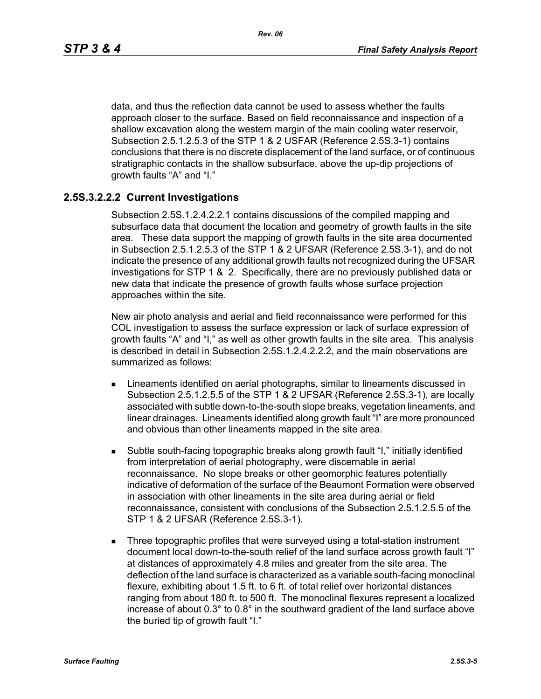data, and thus the reflection data cannot be used to assess whether the faults approach closer to the surface. Based on field reconnaissance and inspection of a shallow excavation along the western margin of the main cooling water reservoir, Subsection 2.5.1.2.5.3 of the STP 1 & 2 USFAR (Reference 2.5S.3-1) contains conclusions that there is no discrete displacement of the land surface, or of continuous stratigraphic contacts in the shallow subsurface, above the up-dip projections of growth faults "A" and "I."

## **2.5S.3.2.2.2 Current Investigations**

Subsection 2.5S.1.2.4.2.2.1 contains discussions of the compiled mapping and subsurface data that document the location and geometry of growth faults in the site area. These data support the mapping of growth faults in the site area documented in Subsection 2.5.1.2.5.3 of the STP 1 & 2 UFSAR (Reference 2.5S.3-1), and do not indicate the presence of any additional growth faults not recognized during the UFSAR investigations for STP 1 & 2. Specifically, there are no previously published data or new data that indicate the presence of growth faults whose surface projection approaches within the site.

New air photo analysis and aerial and field reconnaissance were performed for this COL investigation to assess the surface expression or lack of surface expression of growth faults "A" and "I," as well as other growth faults in the site area. This analysis is described in detail in Subsection 2.5S.1.2.4.2.2.2, and the main observations are summarized as follows:

- **EXTERGHEED EXECUTE:** Lineaments identified on aerial photographs, similar to lineaments discussed in Subsection 2.5.1.2.5.5 of the STP 1 & 2 UFSAR (Reference 2.5S.3-1), are locally associated with subtle down-to-the-south slope breaks, vegetation lineaments, and linear drainages. Lineaments identified along growth fault "I" are more pronounced and obvious than other lineaments mapped in the site area.
- Subtle south-facing topographic breaks along growth fault "I," initially identified from interpretation of aerial photography, were discernable in aerial reconnaissance. No slope breaks or other geomorphic features potentially indicative of deformation of the surface of the Beaumont Formation were observed in association with other lineaments in the site area during aerial or field reconnaissance, consistent with conclusions of the Subsection 2.5.1.2.5.5 of the STP 1 & 2 UFSAR (Reference 2.5S.3-1).
- **Three topographic profiles that were surveyed using a total-station instrument** document local down-to-the-south relief of the land surface across growth fault "I" at distances of approximately 4.8 miles and greater from the site area. The deflection of the land surface is characterized as a variable south-facing monoclinal flexure, exhibiting about 1.5 ft. to 6 ft. of total relief over horizontal distances ranging from about 180 ft. to 500 ft. The monoclinal flexures represent a localized increase of about 0.3° to 0.8° in the southward gradient of the land surface above the buried tip of growth fault "I."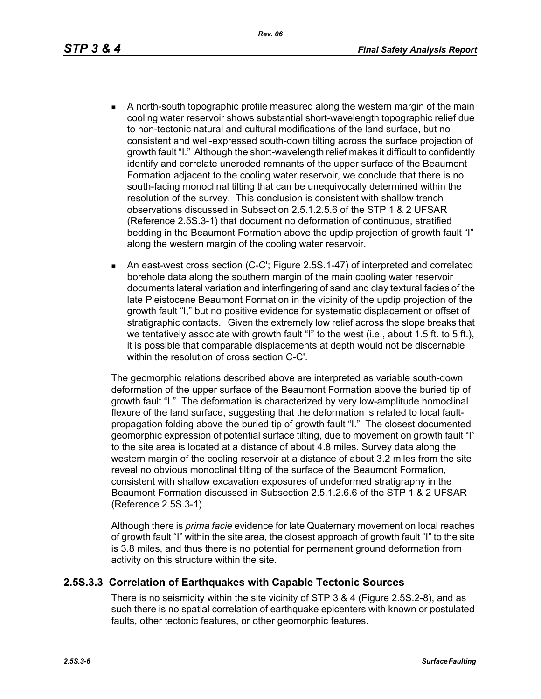- - A north-south topographic profile measured along the western margin of the main cooling water reservoir shows substantial short-wavelength topographic relief due to non-tectonic natural and cultural modifications of the land surface, but no consistent and well-expressed south-down tilting across the surface projection of growth fault "I." Although the short-wavelength relief makes it difficult to confidently identify and correlate uneroded remnants of the upper surface of the Beaumont Formation adjacent to the cooling water reservoir, we conclude that there is no south-facing monoclinal tilting that can be unequivocally determined within the resolution of the survey. This conclusion is consistent with shallow trench observations discussed in Subsection 2.5.1.2.5.6 of the STP 1 & 2 UFSAR (Reference 2.5S.3-1) that document no deformation of continuous, stratified bedding in the Beaumont Formation above the updip projection of growth fault "I" along the western margin of the cooling water reservoir.
	- An east-west cross section (C-C'; Figure 2.5S.1-47) of interpreted and correlated borehole data along the southern margin of the main cooling water reservoir documents lateral variation and interfingering of sand and clay textural facies of the late Pleistocene Beaumont Formation in the vicinity of the updip projection of the growth fault "I," but no positive evidence for systematic displacement or offset of stratigraphic contacts. Given the extremely low relief across the slope breaks that we tentatively associate with growth fault "I" to the west (i.e., about 1.5 ft. to 5 ft.), it is possible that comparable displacements at depth would not be discernable within the resolution of cross section C-C'.

The geomorphic relations described above are interpreted as variable south-down deformation of the upper surface of the Beaumont Formation above the buried tip of growth fault "I." The deformation is characterized by very low-amplitude homoclinal flexure of the land surface, suggesting that the deformation is related to local faultpropagation folding above the buried tip of growth fault "I." The closest documented geomorphic expression of potential surface tilting, due to movement on growth fault "I" to the site area is located at a distance of about 4.8 miles. Survey data along the western margin of the cooling reservoir at a distance of about 3.2 miles from the site reveal no obvious monoclinal tilting of the surface of the Beaumont Formation, consistent with shallow excavation exposures of undeformed stratigraphy in the Beaumont Formation discussed in Subsection 2.5.1.2.6.6 of the STP 1 & 2 UFSAR (Reference 2.5S.3-1).

Although there is *prima facie* evidence for late Quaternary movement on local reaches of growth fault "I" within the site area, the closest approach of growth fault "I" to the site is 3.8 miles, and thus there is no potential for permanent ground deformation from activity on this structure within the site.

### **2.5S.3.3 Correlation of Earthquakes with Capable Tectonic Sources**

There is no seismicity within the site vicinity of STP 3 & 4 (Figure 2.5S.2-8), and as such there is no spatial correlation of earthquake epicenters with known or postulated faults, other tectonic features, or other geomorphic features.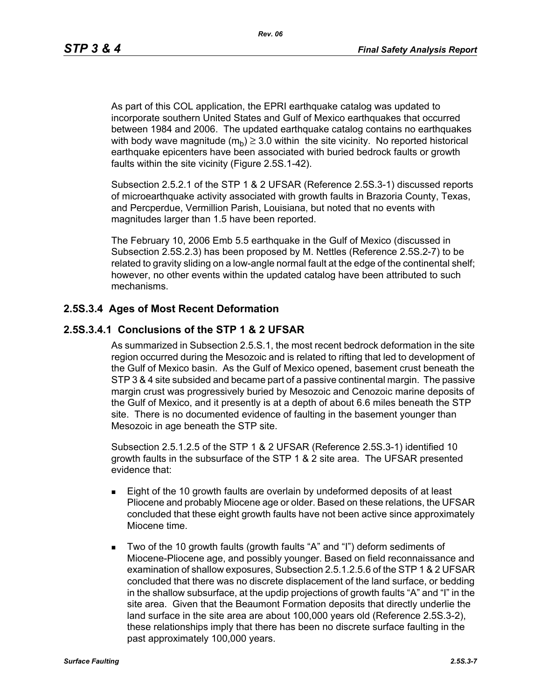As part of this COL application, the EPRI earthquake catalog was updated to incorporate southern United States and Gulf of Mexico earthquakes that occurred between 1984 and 2006. The updated earthquake catalog contains no earthquakes with body wave magnitude  $(m_h) \geq 3.0$  within the site vicinity. No reported historical earthquake epicenters have been associated with buried bedrock faults or growth faults within the site vicinity (Figure 2.5S.1-42).

Subsection 2.5.2.1 of the STP 1 & 2 UFSAR (Reference 2.5S.3-1) discussed reports of microearthquake activity associated with growth faults in Brazoria County, Texas, and Percperdue, Vermillion Parish, Louisiana, but noted that no events with magnitudes larger than 1.5 have been reported.

The February 10, 2006 Emb 5.5 earthquake in the Gulf of Mexico (discussed in Subsection 2.5S.2.3) has been proposed by M. Nettles (Reference 2.5S.2-7) to be related to gravity sliding on a low-angle normal fault at the edge of the continental shelf; however, no other events within the updated catalog have been attributed to such mechanisms.

### **2.5S.3.4 Ages of Most Recent Deformation**

### **2.5S.3.4.1 Conclusions of the STP 1 & 2 UFSAR**

As summarized in Subsection 2.5.S.1, the most recent bedrock deformation in the site region occurred during the Mesozoic and is related to rifting that led to development of the Gulf of Mexico basin. As the Gulf of Mexico opened, basement crust beneath the STP 3 & 4 site subsided and became part of a passive continental margin. The passive margin crust was progressively buried by Mesozoic and Cenozoic marine deposits of the Gulf of Mexico, and it presently is at a depth of about 6.6 miles beneath the STP site. There is no documented evidence of faulting in the basement younger than Mesozoic in age beneath the STP site.

Subsection 2.5.1.2.5 of the STP 1 & 2 UFSAR (Reference 2.5S.3-1) identified 10 growth faults in the subsurface of the STP 1 & 2 site area. The UFSAR presented evidence that:

- **Eight of the 10 growth faults are overlain by undeformed deposits of at least** Pliocene and probably Miocene age or older. Based on these relations, the UFSAR concluded that these eight growth faults have not been active since approximately Miocene time.
- Two of the 10 growth faults (growth faults "A" and "I") deform sediments of Miocene-Pliocene age, and possibly younger. Based on field reconnaissance and examination of shallow exposures, Subsection 2.5.1.2.5.6 of the STP 1 & 2 UFSAR concluded that there was no discrete displacement of the land surface, or bedding in the shallow subsurface, at the updip projections of growth faults "A" and "I" in the site area. Given that the Beaumont Formation deposits that directly underlie the land surface in the site area are about 100,000 years old (Reference 2.5S.3-2), these relationships imply that there has been no discrete surface faulting in the past approximately 100,000 years.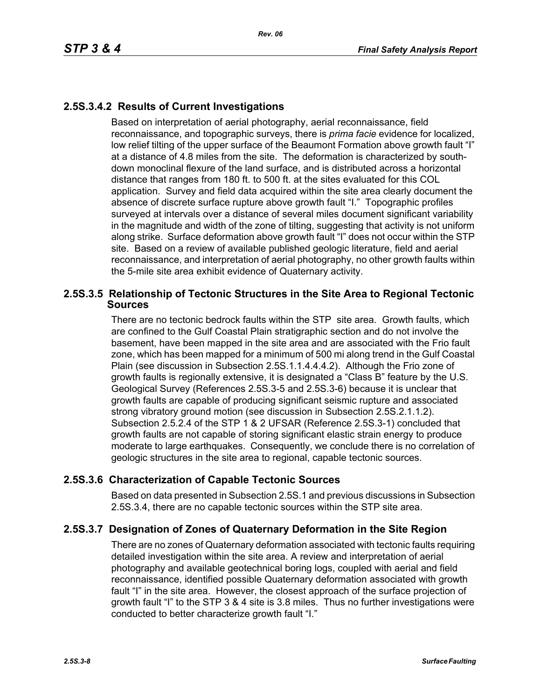## **2.5S.3.4.2 Results of Current Investigations**

Based on interpretation of aerial photography, aerial reconnaissance, field reconnaissance, and topographic surveys, there is *prima facie* evidence for localized, low relief tilting of the upper surface of the Beaumont Formation above growth fault "I" at a distance of 4.8 miles from the site. The deformation is characterized by southdown monoclinal flexure of the land surface, and is distributed across a horizontal distance that ranges from 180 ft. to 500 ft. at the sites evaluated for this COL application. Survey and field data acquired within the site area clearly document the absence of discrete surface rupture above growth fault "I." Topographic profiles surveyed at intervals over a distance of several miles document significant variability in the magnitude and width of the zone of tilting, suggesting that activity is not uniform along strike. Surface deformation above growth fault "I" does not occur within the STP site. Based on a review of available published geologic literature, field and aerial reconnaissance, and interpretation of aerial photography, no other growth faults within the 5-mile site area exhibit evidence of Quaternary activity.

## **2.5S.3.5 Relationship of Tectonic Structures in the Site Area to Regional Tectonic Sources**

There are no tectonic bedrock faults within the STP site area. Growth faults, which are confined to the Gulf Coastal Plain stratigraphic section and do not involve the basement, have been mapped in the site area and are associated with the Frio fault zone, which has been mapped for a minimum of 500 mi along trend in the Gulf Coastal Plain (see discussion in Subsection 2.5S.1.1.4.4.4.2). Although the Frio zone of growth faults is regionally extensive, it is designated a "Class B" feature by the U.S. Geological Survey (References 2.5S.3-5 and 2.5S.3-6) because it is unclear that growth faults are capable of producing significant seismic rupture and associated strong vibratory ground motion (see discussion in Subsection 2.5S.2.1.1.2). Subsection 2.5.2.4 of the STP 1 & 2 UFSAR (Reference 2.5S.3-1) concluded that growth faults are not capable of storing significant elastic strain energy to produce moderate to large earthquakes. Consequently, we conclude there is no correlation of geologic structures in the site area to regional, capable tectonic sources.

## **2.5S.3.6 Characterization of Capable Tectonic Sources**

Based on data presented in Subsection 2.5S.1 and previous discussions in Subsection 2.5S.3.4, there are no capable tectonic sources within the STP site area.

## **2.5S.3.7 Designation of Zones of Quaternary Deformation in the Site Region**

There are no zones of Quaternary deformation associated with tectonic faults requiring detailed investigation within the site area. A review and interpretation of aerial photography and available geotechnical boring logs, coupled with aerial and field reconnaissance, identified possible Quaternary deformation associated with growth fault "I" in the site area. However, the closest approach of the surface projection of growth fault "I" to the STP 3 & 4 site is 3.8 miles. Thus no further investigations were conducted to better characterize growth fault "I."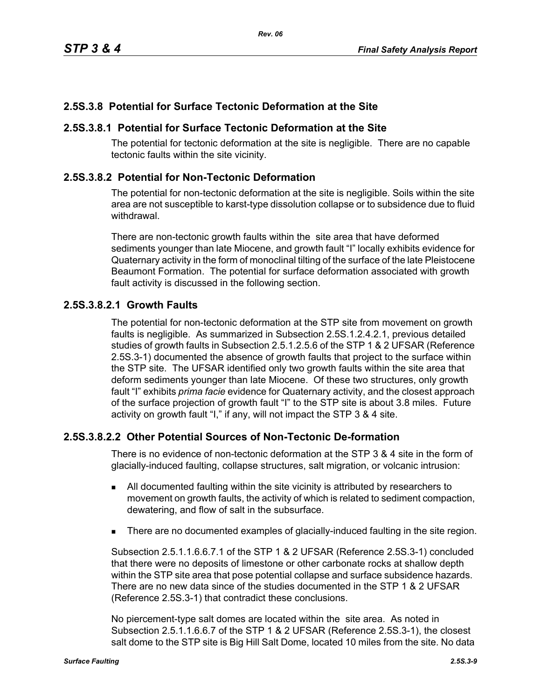## **2.5S.3.8 Potential for Surface Tectonic Deformation at the Site**

## **2.5S.3.8.1 Potential for Surface Tectonic Deformation at the Site**

The potential for tectonic deformation at the site is negligible. There are no capable tectonic faults within the site vicinity.

## **2.5S.3.8.2 Potential for Non-Tectonic Deformation**

The potential for non-tectonic deformation at the site is negligible. Soils within the site area are not susceptible to karst-type dissolution collapse or to subsidence due to fluid withdrawal.

There are non-tectonic growth faults within the site area that have deformed sediments younger than late Miocene, and growth fault "I" locally exhibits evidence for Quaternary activity in the form of monoclinal tilting of the surface of the late Pleistocene Beaumont Formation. The potential for surface deformation associated with growth fault activity is discussed in the following section.

## **2.5S.3.8.2.1 Growth Faults**

The potential for non-tectonic deformation at the STP site from movement on growth faults is negligible. As summarized in Subsection 2.5S.1.2.4.2.1, previous detailed studies of growth faults in Subsection 2.5.1.2.5.6 of the STP 1 & 2 UFSAR (Reference 2.5S.3-1) documented the absence of growth faults that project to the surface within the STP site. The UFSAR identified only two growth faults within the site area that deform sediments younger than late Miocene. Of these two structures, only growth fault "I" exhibits *prima facie* evidence for Quaternary activity, and the closest approach of the surface projection of growth fault "I" to the STP site is about 3.8 miles. Future activity on growth fault "I," if any, will not impact the STP 3 & 4 site.

## **2.5S.3.8.2.2 Other Potential Sources of Non-Tectonic De-formation**

There is no evidence of non-tectonic deformation at the STP 3 & 4 site in the form of glacially-induced faulting, collapse structures, salt migration, or volcanic intrusion:

- All documented faulting within the site vicinity is attributed by researchers to movement on growth faults, the activity of which is related to sediment compaction, dewatering, and flow of salt in the subsurface.
- There are no documented examples of glacially-induced faulting in the site region.

Subsection 2.5.1.1.6.6.7.1 of the STP 1 & 2 UFSAR (Reference 2.5S.3-1) concluded that there were no deposits of limestone or other carbonate rocks at shallow depth within the STP site area that pose potential collapse and surface subsidence hazards. There are no new data since of the studies documented in the STP 1 & 2 UFSAR (Reference 2.5S.3-1) that contradict these conclusions.

No piercement-type salt domes are located within the site area. As noted in Subsection 2.5.1.1.6.6.7 of the STP 1 & 2 UFSAR (Reference 2.5S.3-1), the closest salt dome to the STP site is Big Hill Salt Dome, located 10 miles from the site. No data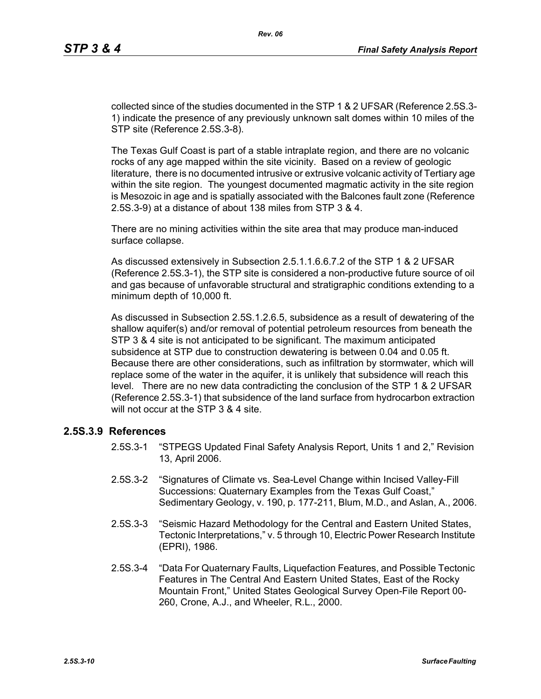collected since of the studies documented in the STP 1 & 2 UFSAR (Reference 2.5S.3- 1) indicate the presence of any previously unknown salt domes within 10 miles of the STP site (Reference 2.5S.3-8).

The Texas Gulf Coast is part of a stable intraplate region, and there are no volcanic rocks of any age mapped within the site vicinity. Based on a review of geologic literature, there is no documented intrusive or extrusive volcanic activity of Tertiary age within the site region. The youngest documented magmatic activity in the site region is Mesozoic in age and is spatially associated with the Balcones fault zone (Reference 2.5S.3-9) at a distance of about 138 miles from STP 3 & 4.

There are no mining activities within the site area that may produce man-induced surface collapse.

As discussed extensively in Subsection 2.5.1.1.6.6.7.2 of the STP 1 & 2 UFSAR (Reference 2.5S.3-1), the STP site is considered a non-productive future source of oil and gas because of unfavorable structural and stratigraphic conditions extending to a minimum depth of 10,000 ft.

As discussed in Subsection 2.5S.1.2.6.5, subsidence as a result of dewatering of the shallow aquifer(s) and/or removal of potential petroleum resources from beneath the STP 3 & 4 site is not anticipated to be significant. The maximum anticipated subsidence at STP due to construction dewatering is between 0.04 and 0.05 ft. Because there are other considerations, such as infiltration by stormwater, which will replace some of the water in the aquifer, it is unlikely that subsidence will reach this level. There are no new data contradicting the conclusion of the STP 1 & 2 UFSAR (Reference 2.5S.3-1) that subsidence of the land surface from hydrocarbon extraction will not occur at the STP 3 & 4 site.

### **2.5S.3.9 References**

- 2.5S.3-1 "STPEGS Updated Final Safety Analysis Report, Units 1 and 2," Revision 13, April 2006.
- 2.5S.3-2 "Signatures of Climate vs. Sea-Level Change within Incised Valley-Fill Successions: Quaternary Examples from the Texas Gulf Coast," Sedimentary Geology, v. 190, p. 177-211, Blum, M.D., and Aslan, A., 2006.
- 2.5S.3-3 "Seismic Hazard Methodology for the Central and Eastern United States, Tectonic Interpretations," v. 5 through 10, Electric Power Research Institute (EPRI), 1986.
- 2.5S.3-4 "Data For Quaternary Faults, Liquefaction Features, and Possible Tectonic Features in The Central And Eastern United States, East of the Rocky Mountain Front," United States Geological Survey Open-File Report 00- 260, Crone, A.J., and Wheeler, R.L., 2000.